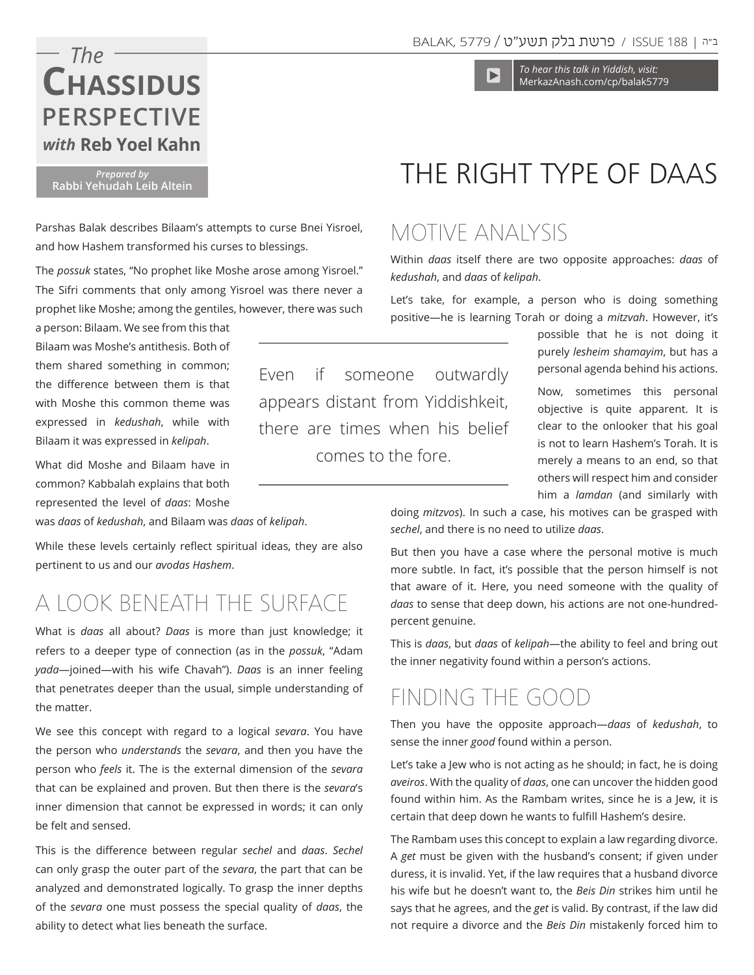#### ב״ה | ISSUE 188 / <mark>פרשת בלק תשע״ט /</mark> 5779

*To hear this talk in Yiddish, visit:*  MerkazAnash.com/cp/balak5779

# *The with* **Reb Yoel Kahn Chassidus Perspective**

*Prepared by*  **Rabbi Yehudah Leib Altein** 

Parshas Balak describes Bilaam's attempts to curse Bnei Yisroel, and how Hashem transformed his curses to blessings.

The *possuk* states, "No prophet like Moshe arose among Yisroel." The Sifri comments that only among Yisroel was there never a prophet like Moshe; among the gentiles, however, there was such

a person: Bilaam. We see from this that Bilaam was Moshe's antithesis. Both of them shared something in common; the difference between them is that with Moshe this common theme was expressed in *kedushah*, while with Bilaam it was expressed in *kelipah*.

What did Moshe and Bilaam have in common? Kabbalah explains that both represented the level of *daas*: Moshe

was *daas* of *kedushah*, and Bilaam was *daas* of *kelipah*.

While these levels certainly reflect spiritual ideas, they are also pertinent to us and our *avodas Hashem*.

# A Look Beneath the Surface

What is *daas* all about? *Daas* is more than just knowledge; it refers to a deeper type of connection (as in the *possuk*, "Adam *yada*—joined—with his wife Chavah"). *Daas* is an inner feeling that penetrates deeper than the usual, simple understanding of the matter.

We see this concept with regard to a logical *sevara*. You have the person who *understands* the *sevara*, and then you have the person who *feels* it. The is the external dimension of the *sevara*  that can be explained and proven. But then there is the *sevara*'s inner dimension that cannot be expressed in words; it can only be felt and sensed.

This is the difference between regular *sechel* and *daas*. *Sechel*  can only grasp the outer part of the *sevara*, the part that can be analyzed and demonstrated logically. To grasp the inner depths of the *sevara* one must possess the special quality of *daas*, the ability to detect what lies beneath the surface.

# The Right Type of Daas

## Motive Analysis

Within *daas* itself there are two opposite approaches: *daas* of *kedushah*, and *daas* of *kelipah*.

Let's take, for example, a person who is doing something positive—he is learning Torah or doing a *mitzvah*. However, it's

> possible that he is not doing it purely *lesheim shamayim*, but has a personal agenda behind his actions.

> Now, sometimes this personal objective is quite apparent. It is clear to the onlooker that his goal is not to learn Hashem's Torah. It is merely a means to an end, so that others will respect him and consider him a *lamdan* (and similarly with

doing *mitzvos*). In such a case, his motives can be grasped with *sechel*, and there is no need to utilize *daas*.

But then you have a case where the personal motive is much more subtle. In fact, it's possible that the person himself is not that aware of it. Here, you need someone with the quality of *daas* to sense that deep down, his actions are not one-hundredpercent genuine.

This is *daas*, but *daas* of *kelipah*—the ability to feel and bring out the inner negativity found within a person's actions.

## Finding the Good

Then you have the opposite approach—*daas* of *kedushah*, to sense the inner *good* found within a person.

Let's take a Jew who is not acting as he should; in fact, he is doing *aveiros*. With the quality of *daas*, one can uncover the hidden good found within him. As the Rambam writes, since he is a Jew, it is certain that deep down he wants to fulfill Hashem's desire.

The Rambam uses this concept to explain a law regarding divorce. A *get* must be given with the husband's consent; if given under duress, it is invalid. Yet, if the law requires that a husband divorce his wife but he doesn't want to, the *Beis Din* strikes him until he says that he agrees, and the *get* is valid. By contrast, if the law did not require a divorce and the *Beis Din* mistakenly forced him to

Even if someone outwardly appears distant from Yiddishkeit, there are times when his belief comes to the fore.